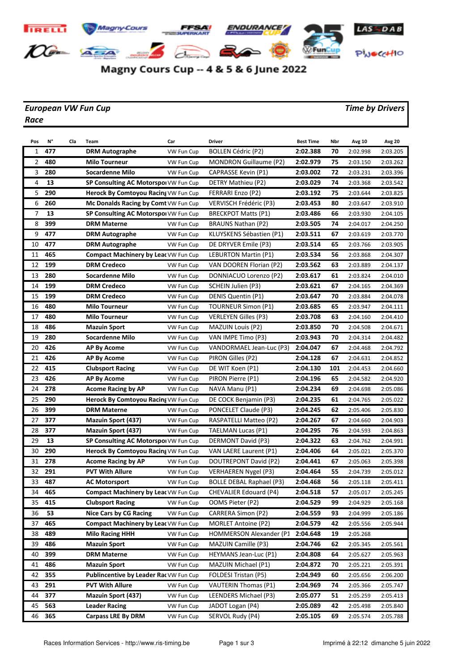

## Magny Cours Cup -- 4 & 5 & 6 June 2022

## *European VW Fun Cup Time by Drivers Race*

| Pos            | N°  | Cla | Team                                        | Car        | Driver                          | <b>Best Time</b> | Nbr | Avg 10   | <b>Avg 20</b> |
|----------------|-----|-----|---------------------------------------------|------------|---------------------------------|------------------|-----|----------|---------------|
| 1              | 477 |     | <b>DRM Autographe</b>                       | VW Fun Cup | <b>BOLLEN Cédric (P2)</b>       | 2:02.388         | 70  | 2:02.998 | 2:03.205      |
| 2              | 480 |     | <b>Milo Tourneur</b>                        | VW Fun Cup | <b>MONDRON Guillaume (P2)</b>   | 2:02.979         | 75  | 2:03.150 | 2:03.262      |
| 3              | 280 |     | <b>Socardenne Milo</b>                      | VW Fun Cup | CAPRASSE Kevin (P1)             | 2:03.002         | 72  | 2:03.231 | 2:03.396      |
| $\overline{4}$ | 13  |     | SP Consulting AC Motorspol VW Fun Cup       |            | DETRY Mathieu (P2)              | 2:03.029         | 74  | 2:03.368 | 2:03.542      |
| 5              | 290 |     | Herock By Comtoyou Racing VW Fun Cup        |            | FERRARI Enzo (P2)               | 2:03.192         | 75  | 2:03.644 | 2:03.825      |
| 6              | 260 |     | Mc Donalds Racing by Comt VW Fun Cup        |            | VERVISCH Frédéric (P3)          | 2:03.453         | 80  | 2:03.647 | 2:03.910      |
| 7              | 13  |     | SP Consulting AC Motorspol VW Fun Cup       |            | <b>BRECKPOT Matts (P1)</b>      | 2:03.486         | 66  | 2:03.930 | 2:04.105      |
| 8              | 399 |     | <b>DRM Materne</b>                          | VW Fun Cup | <b>BRAUNS Nathan (P2)</b>       | 2:03.505         | 74  | 2:04.017 | 2:04.250      |
| 9              | 477 |     | <b>DRM Autographe</b>                       | VW Fun Cup | KLUYSKENS Sébastien (P1)        | 2:03.511         | 67  | 2:03.619 | 2:03.770      |
| 10             | 477 |     | <b>DRM Autographe</b>                       | VW Fun Cup | DE DRYVER Emile (P3)            | 2:03.514         | 65  | 2:03.766 | 2:03.905      |
| 11             | 465 |     | <b>Compact Machinery by Leat VW Fun Cup</b> |            | LEBURTON Martin (P1)            | 2:03.534         | 56  | 2:03.868 | 2:04.307      |
| 12             | 199 |     | <b>DRM Credeco</b>                          | VW Fun Cup | VAN DOOREN Florian (P2)         | 2:03.562         | 63  | 2:03.889 | 2:04.137      |
| 13             | 280 |     | Socardenne Milo                             | VW Fun Cup | DONNIACUO Lorenzo (P2)          | 2:03.617         | 61  | 2:03.824 | 2:04.010      |
| 14             | 199 |     | <b>DRM Credeco</b>                          | VW Fun Cup | SCHEIN Julien (P3)              | 2:03.621         | 67  | 2:04.165 | 2:04.369      |
| 15             | 199 |     | <b>DRM Credeco</b>                          | VW Fun Cup | DENIS Quentin (P1)              | 2:03.647         | 70  | 2:03.884 | 2:04.078      |
| 16             | 480 |     | Milo Tourneur                               | VW Fun Cup | <b>TOURNEUR Simon (P1)</b>      | 2:03.685         | 65  | 2:03.947 | 2:04.111      |
| 17             | 480 |     | <b>Milo Tourneur</b>                        | VW Fun Cup | <b>VERLEYEN Gilles (P3)</b>     | 2:03.708         | 63  | 2:04.160 | 2:04.410      |
| 18             | 486 |     | <b>Mazuin Sport</b>                         | VW Fun Cup | <b>MAZUIN Louis (P2)</b>        | 2:03.850         | 70  | 2:04.508 | 2:04.671      |
| 19             | 280 |     | <b>Socardenne Milo</b>                      | VW Fun Cup | VAN IMPE Timo (P3)              | 2:03.943         | 70  | 2:04.314 | 2:04.482      |
| 20             | 426 |     | <b>AP By Acome</b>                          | VW Fun Cup | VANDORMAEL Jean-Luc (P3)        | 2:04.047         | 67  | 2:04.468 | 2:04.792      |
| 21             | 426 |     | <b>AP By Acome</b>                          | VW Fun Cup | PIRON Gilles (P2)               | 2:04.128         | 67  | 2:04.631 | 2:04.852      |
| 22             | 415 |     | <b>Clubsport Racing</b>                     | VW Fun Cup | DE WIT Koen (P1)                | 2:04.130         | 101 | 2:04.453 | 2:04.660      |
| 23             | 426 |     | <b>AP By Acome</b>                          | VW Fun Cup | PIRON Pierre (P1)               | 2:04.196         | 65  | 2:04.582 | 2:04.920      |
| 24             | 278 |     | <b>Acome Racing by AP</b>                   | VW Fun Cup | NAVA Manu (P1)                  | 2:04.234         | 69  | 2:04.698 | 2:05.086      |
| 25             | 290 |     | Herock By Comtoyou Racing VW Fun Cup        |            | DE COCK Benjamin (P3)           | 2:04.235         | 61  | 2:04.765 | 2:05.022      |
| 26             | 399 |     | <b>DRM Materne</b>                          | VW Fun Cup | PONCELET Claude (P3)            | 2:04.245         | 62  | 2:05.406 | 2:05.830      |
| 27             | 377 |     | <b>Mazuin Sport (437)</b>                   | VW Fun Cup | RASPATELLI Matteo (P2)          | 2:04.267         | 67  | 2:04.660 | 2:04.903      |
| 28             | 377 |     | <b>Mazuin Sport (437)</b>                   | VW Fun Cup | TAELMAN Lucas (P1)              | 2:04.295         | 76  | 2:04.593 | 2:04.863      |
| 29             | 13  |     | SP Consulting AC Motorspol VW Fun Cup       |            | DERMONT David (P3)              | 2:04.322         | 63  | 2:04.762 | 2:04.991      |
| 30             | 290 |     | Herock By Comtoyou Racing VW Fun Cup        |            | VAN LAERE Laurent (P1)          | 2:04.406         | 64  | 2:05.021 | 2:05.370      |
| 31             | 278 |     | <b>Acome Racing by AP</b>                   | VW Fun Cup | DOUTREPONT David (P2)           | 2:04.441         | 67  | 2:05.063 | 2:05.398      |
| 32             | 291 |     | <b>PVT With Allure</b>                      | VW Fun Cup | <b>VERHAEREN Nygel (P3)</b>     | 2:04.464         | 55  | 2:04.739 | 2:05.012      |
| 33             | 487 |     | <b>AC Motorsport</b>                        | VW Fun Cup | <b>BOLLE DEBAL Raphael (P3)</b> | 2:04.468         | 56  | 2:05.118 | 2:05.411      |
| 34             | 465 |     | Compact Machinery by Leat VW Fun Cup        |            | CHEVALIER Edouard (P4)          | 2:04.518         | 57  | 2:05.017 | 2:05.245      |
| 35             | 415 |     | <b>Clubsport Racing</b>                     | VW Fun Cup | OOMS Pieter (P2)                | 2:04.529         | 99  | 2:04.929 | 2:05.168      |
| 36             | 53  |     | <b>Nice Cars by CG Racing</b>               | VW Fun Cup | CARRERA Simon (P2)              | 2:04.559         | 93  | 2:04.999 | 2:05.186      |
| 37             | 465 |     | <b>Compact Machinery by Leat VW Fun Cup</b> |            | <b>MORLET Antoine (P2)</b>      | 2:04.579         | 42  | 2:05.556 | 2:05.944      |
| 38             | 489 |     | <b>Milo Racing HHH</b>                      | VW Fun Cup | HOMMERSON Alexander (P1         | 2:04.648         | 19  | 2:05.268 |               |
| 39             | 486 |     | <b>Mazuin Sport</b>                         | VW Fun Cup | <b>MAZUIN Camille (P3)</b>      | 2:04.746         | 62  | 2:05.345 | 2:05.561      |
| 40             | 399 |     | <b>DRM Materne</b>                          | VW Fun Cup | HEYMANS Jean-Luc (P1)           | 2:04.808         | 64  | 2:05.627 | 2:05.963      |
| 41             | 486 |     | <b>Mazuin Sport</b>                         | VW Fun Cup | MAZUIN Michael (P1)             | 2:04.872         | 70  | 2:05.221 | 2:05.391      |
| 42             | 355 |     | Publincentive by Leader Rac VW Fun Cup      |            | FOLDESI Tristan (P5)            | 2:04.949         | 60  | 2:05.656 | 2:06.200      |
| 43             | 291 |     | <b>PVT With Allure</b>                      | VW Fun Cup | <b>VAUTERIN Thomas (P1)</b>     | 2:04.969         | 74  | 2:05.366 | 2:05.747      |
| 44             | 377 |     | <b>Mazuin Sport (437)</b>                   | VW Fun Cup | LEENDERS Michael (P3)           | 2:05.077         | 51  | 2:05.259 | 2:05.413      |
| 45             | 563 |     | <b>Leader Racing</b>                        | VW Fun Cup | JADOT Logan (P4)                | 2:05.089         | 42  | 2:05.498 | 2:05.840      |
| 46             | 365 |     | <b>Carpass LRE By DRM</b>                   | VW Fun Cup | SERVOL Rudy (P4)                | 2:05.105         | 69  | 2:05.574 | 2:05.788      |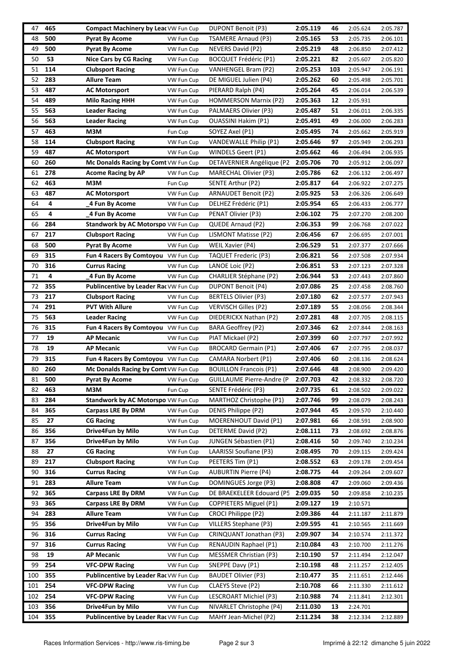| 47  | 465 | <b>Compact Machinery by Lear VW Fun Cup</b>   |            | DUPONT Benoit (P3)               | 2:05.119 | 46  | 2:05.624 | 2:05.787 |
|-----|-----|-----------------------------------------------|------------|----------------------------------|----------|-----|----------|----------|
| 48  | 500 | Pyrat By Acome                                | VW Fun Cup | TSAMERE Arnaud (P3)              | 2:05.165 | 53  | 2:05.735 | 2:06.101 |
| 49  | 500 | <b>Pyrat By Acome</b>                         | VW Fun Cup | NEVERS David (P2)                | 2:05.219 | 48  | 2:06.850 | 2:07.412 |
| 50  | 53  | <b>Nice Cars by CG Racing</b>                 | VW Fun Cup | <b>BOCQUET Frédéric (P1)</b>     | 2:05.221 | 82  | 2:05.607 | 2:05.820 |
| 51  | 114 | <b>Clubsport Racing</b>                       | VW Fun Cup | VANHENGEL Bram (P2)              | 2:05.253 | 103 | 2:05.947 | 2:06.191 |
| 52  | 283 | Allure Team                                   | VW Fun Cup | DE MIGUEL Julien (P4)            | 2:05.262 | 60  | 2:05.498 | 2:05.701 |
| 53  | 487 | <b>AC Motorsport</b>                          | VW Fun Cup | PIERARD Ralph (P4)               | 2:05.264 | 45  | 2:06.014 | 2:06.539 |
| 54  | 489 | <b>Milo Racing HHH</b>                        | VW Fun Cup | <b>HOMMERSON Marnix (P2)</b>     | 2:05.363 | 12  | 2:05.931 |          |
| 55  | 563 | <b>Leader Racing</b>                          | VW Fun Cup | PALMAERS Olivier (P3)            | 2:05.487 | 51  | 2:06.011 | 2:06.335 |
| 56  | 563 | <b>Leader Racing</b>                          | VW Fun Cup | <b>OUASSINI Hakim (P1)</b>       | 2:05.491 | 49  | 2:06.000 | 2:06.283 |
| 57  | 463 | M3M                                           | Fun Cup    | SOYEZ Axel (P1)                  | 2:05.495 | 74  | 2:05.662 | 2:05.919 |
| 58  | 114 | <b>Clubsport Racing</b>                       | VW Fun Cup | VANDEWALLE Philip (P1)           | 2:05.646 | 97  | 2:05.949 | 2:06.293 |
| 59  | 487 |                                               |            |                                  |          | 46  |          |          |
|     |     | <b>AC Motorsport</b>                          | VW Fun Cup | WINDELS Geert (P1)               | 2:05.662 |     | 2:06.494 | 2:06.935 |
| 60  | 260 | Mc Donalds Racing by Comt VW Fun Cup          |            | DETAVERNIER Angélique (P2        | 2:05.706 | 70  | 2:05.912 | 2:06.097 |
| 61  | 278 | <b>Acome Racing by AP</b>                     | VW Fun Cup | <b>MARECHAL Olivier (P3)</b>     | 2:05.786 | 62  | 2:06.132 | 2:06.497 |
| 62  | 463 | M3M                                           | Fun Cup    | SENTE Arthur (P2)                | 2:05.817 | 64  | 2:06.922 | 2:07.275 |
| 63  | 487 | <b>AC Motorsport</b>                          | VW Fun Cup | ARNAUDET Benoit (P2)             | 2:05.925 | 53  | 2:06.326 | 2:06.649 |
| 64  | 4   | 4 Fun By Acome                                | VW Fun Cup | DELHEZ Frédéric (P1)             | 2:05.954 | 65  | 2:06.433 | 2:06.777 |
| 65  | 4   | 4 Fun By Acome                                | VW Fun Cup | PENAT Olivier (P3)               | 2:06.102 | 75  | 2:07.270 | 2:08.200 |
| 66  | 284 | <b>Standwork by AC Motorspo VW Fun Cup</b>    |            | QUEDE Arnaud (P2)                | 2:06.353 | 99  | 2:06.768 | 2:07.022 |
| 67  | 217 | <b>Clubsport Racing</b>                       | VW Fun Cup | LISMONT Matisse (P2)             | 2:06.456 | 67  | 2:06.695 | 2:07.001 |
| 68  | 500 | <b>Pyrat By Acome</b>                         | VW Fun Cup | WEIL Xavier (P4)                 | 2:06.529 | 51  | 2:07.377 | 2:07.666 |
| 69  | 315 | Fun 4 Racers By Comtoyou VW Fun Cup           |            | TAQUET Frederic (P3)             | 2:06.821 | 56  | 2:07.508 | 2:07.934 |
| 70  | 316 | <b>Currus Racing</b>                          | VW Fun Cup | LANOE Loic (P2)                  | 2:06.851 | 53  | 2:07.123 | 2:07.328 |
| 71  | 4   | 4 Fun By Acome                                | VW Fun Cup | <b>CHARLIER Stéphane (P2)</b>    | 2:06.944 | 53  | 2:07.443 | 2:07.860 |
| 72  | 355 | <b>Publincentive by Leader Rac VW Fun Cup</b> |            | <b>DUPONT Benoit (P4)</b>        | 2:07.086 | 25  | 2:07.458 | 2:08.760 |
| 73  | 217 | <b>Clubsport Racing</b>                       | VW Fun Cup | BERTELS Olivier (P3)             | 2:07.180 | 62  | 2:07.577 | 2:07.943 |
| 74  | 291 | <b>PVT With Allure</b>                        | VW Fun Cup | <b>VERVISCH Gilles (P2)</b>      | 2:07.189 | 55  | 2:08.056 | 2:08.344 |
| 75  | 563 | <b>Leader Racing</b>                          | VW Fun Cup | DIEDERICKX Nathan (P2)           | 2:07.281 | 48  | 2:07.705 | 2:08.115 |
| 76  | 315 | Fun 4 Racers By Comtoyou VW Fun Cup           |            | BARA Geoffrey (P2)               | 2:07.346 | 62  | 2:07.844 | 2:08.163 |
| 77  | 19  | <b>AP Mecanic</b>                             | VW Fun Cup | PIAT Mickael (P2)                | 2:07.399 | 60  | 2:07.797 | 2:07.992 |
| 78  | 19  | <b>AP Mecanic</b>                             | VW Fun Cup | <b>BROCARD Germain (P1)</b>      | 2:07.406 | 67  | 2:07.795 | 2:08.037 |
| 79  | 315 | Fun 4 Racers By Comtoyou VW Fun Cup           |            | CAMARA Norbert (P1)              | 2:07.406 | 60  | 2:08.136 | 2:08.624 |
| 80  | 260 | Mc Donalds Racing by Comt VW Fun Cup          |            | <b>BOUILLON Francois (P1)</b>    | 2:07.646 | 48  | 2:08.900 | 2:09.420 |
| 81  | 500 | Pyrat By Acome                                | VW Fun Cup | <b>GUILLAUME Pierre-Andre (P</b> | 2:07.703 | 42  | 2:08.332 | 2:08.720 |
| 82  | 463 | МЗМ                                           | Fun Cup    | SENTE Frédéric (P3)              | 2:07.735 | 61  | 2:08.502 | 2:09.022 |
| 83  | 284 | Standwork by AC Motorspo VW Fun Cup           |            | MARTHOZ Christophe (P1)          | 2:07.746 | 99  | 2:08.079 | 2:08.243 |
| 84  | 365 | <b>Carpass LRE By DRM</b>                     | VW Fun Cup | DENIS Philippe (P2)              | 2:07.944 | 45  | 2:09.570 | 2:10.440 |
| 85  | 27  | <b>CG Racing</b>                              | VW Fun Cup | MOERENHOUT David (P1)            | 2:07.981 | 66  | 2:08.591 | 2:08.900 |
| 86  | 356 | Drive4Fun by Milo                             | VW Fun Cup | DETERME David (P2)               | 2:08.111 | 73  | 2:08.692 | 2:08.876 |
| 87  | 356 | Drive4Fun by Milo                             | VW Fun Cup | JUNGEN Sébastien (P1)            | 2:08.416 | 50  | 2:09.740 | 2:10.234 |
| 88  | 27  | <b>CG Racing</b>                              | VW Fun Cup | LAARISSI Soufiane (P3)           | 2:08.495 | 70  | 2:09.115 | 2:09.424 |
| 89  | 217 | <b>Clubsport Racing</b>                       | VW Fun Cup | PEETERS Tim (P1)                 | 2:08.552 | 63  | 2:09.178 | 2:09.454 |
| 90  | 316 | <b>Currus Racing</b>                          | VW Fun Cup | <b>AUBURTIN Pierre (P4)</b>      | 2:08.775 | 44  | 2:09.264 | 2:09.607 |
| 91  | 283 | <b>Allure Team</b>                            | VW Fun Cup | DOMINGUES Jorge (P3)             | 2:08.808 | 47  | 2:09.060 | 2:09.436 |
| 92  | 365 | <b>Carpass LRE By DRM</b>                     | VW Fun Cup | DE BRAEKELEER Edouard (P5        | 2:09.035 | 50  | 2:09.858 | 2:10.235 |
| 93  | 365 | <b>Carpass LRE By DRM</b>                     | VW Fun Cup | <b>COPPIETERS Miguel (P1)</b>    | 2:09.127 | 19  | 2:10.571 |          |
| 94  | 283 | <b>Allure Team</b>                            | VW Fun Cup | CROCI Philippe (P2)              | 2:09.386 | 44  | 2:11.187 | 2:11.879 |
| 95  | 356 | Drive4Fun by Milo                             | VW Fun Cup | <b>VILLERS Stephane (P3)</b>     | 2:09.595 | 41  | 2:10.565 | 2:11.669 |
| 96  | 316 | <b>Currus Racing</b>                          | VW Fun Cup | CRINQUANT Jonathan (P3)          | 2:09.907 | 34  | 2:10.574 | 2:11.372 |
| 97  | 316 | <b>Currus Racing</b>                          | VW Fun Cup | RENAUDIN Raphael (P1)            | 2:10.084 | 43  | 2:10.700 | 2:11.276 |
| 98  | 19  | <b>AP Mecanic</b>                             | VW Fun Cup | MESSMER Christian (P3)           | 2:10.190 | 57  | 2:11.494 | 2:12.047 |
| 99  | 254 | <b>VFC-DPW Racing</b>                         | VW Fun Cup | SNEPPE Davy (P1)                 | 2:10.198 | 48  | 2:11.257 | 2:12.405 |
| 100 | 355 | <b>Publincentive by Leader Rac VW Fun Cup</b> |            | BAUDET Olivier (P3)              | 2:10.477 | 35  | 2:11.651 | 2:12.446 |
| 101 | 254 | <b>VFC-DPW Racing</b>                         | VW Fun Cup | CLAEYS Steve (P2)                | 2:10.708 | 66  | 2:11.330 | 2:11.612 |
| 102 | 254 | <b>VFC-DPW Racing</b>                         | VW Fun Cup | LESCROART Michiel (P3)           | 2:10.988 | 74  | 2:11.841 | 2:12.301 |
| 103 | 356 | Drive4Fun by Milo                             | VW Fun Cup | NIVARLET Christophe (P4)         | 2:11.030 | 13  | 2:24.701 |          |
| 104 | 355 | <b>Publincentive by Leader Rac VW Fun Cup</b> |            | MAHY Jean-Michel (P2)            | 2:11.234 | 38  | 2:12.334 | 2:12.889 |